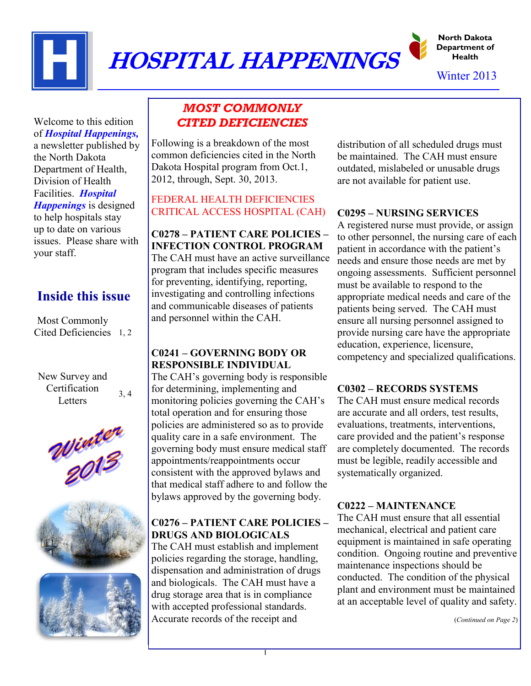

# HOSPITAL HAPPENINGS

**North Dakota Department of Health**

Winter 2013

Welcome to this edition of *Hospital Happenings,* a newsletter published by the North Dakota Department of Health, Division of Health Facilities. *Hospital Happenings* is designed to help hospitals stay up to date on various issues. Please share with your staff.

## **Inside this issue**

Most Commonly Cited Deficiencies 1, 2

New Survey and Certification **Letters** 3, 4





### *MOST COMMONLY CITED DEFICIENCIES*

Following is a breakdown of the most common deficiencies cited in the North Dakota Hospital program from Oct.1, 2012, through, Sept. 30, 2013.

#### FEDERAL HEALTH DEFICIENCIES CRITICAL ACCESS HOSPITAL (CAH)

**C0278 – PATIENT CARE POLICIES – INFECTION CONTROL PROGRAM** The CAH must have an active surveillance program that includes specific measures for preventing, identifying, reporting, investigating and controlling infections and communicable diseases of patients and personnel within the CAH.

#### **C0241 – GOVERNING BODY OR RESPONSIBLE INDIVIDUAL**

The CAH's governing body is responsible for determining, implementing and monitoring policies governing the CAH's total operation and for ensuring those policies are administered so as to provide quality care in a safe environment. The governing body must ensure medical staff appointments/reappointments occur consistent with the approved bylaws and that medical staff adhere to and follow the bylaws approved by the governing body.

#### **C0276 – PATIENT CARE POLICIES – DRUGS AND BIOLOGICALS**

The CAH must establish and implement policies regarding the storage, handling, dispensation and administration of drugs and biologicals. The CAH must have a drug storage area that is in compliance with accepted professional standards. Accurate records of the receipt and

distribution of all scheduled drugs must be maintained. The CAH must ensure outdated, mislabeled or unusable drugs are not available for patient use.

#### **C0295 – NURSING SERVICES**

A registered nurse must provide, or assign to other personnel, the nursing care of each patient in accordance with the patient's needs and ensure those needs are met by ongoing assessments. Sufficient personnel must be available to respond to the appropriate medical needs and care of the patients being served. The CAH must ensure all nursing personnel assigned to provide nursing care have the appropriate education, experience, licensure, competency and specialized qualifications.

#### **C0302 – RECORDS SYSTEMS**

The CAH must ensure medical records are accurate and all orders, test results, evaluations, treatments, interventions, care provided and the patient's response are completely documented. The records must be legible, readily accessible and systematically organized.

#### **C0222 – MAINTENANCE**

The CAH must ensure that all essential mechanical, electrical and patient care equipment is maintained in safe operating condition. Ongoing routine and preventive maintenance inspections should be conducted. The condition of the physical plant and environment must be maintained at an acceptable level of quality and safety.

(*Continued on Page 2*)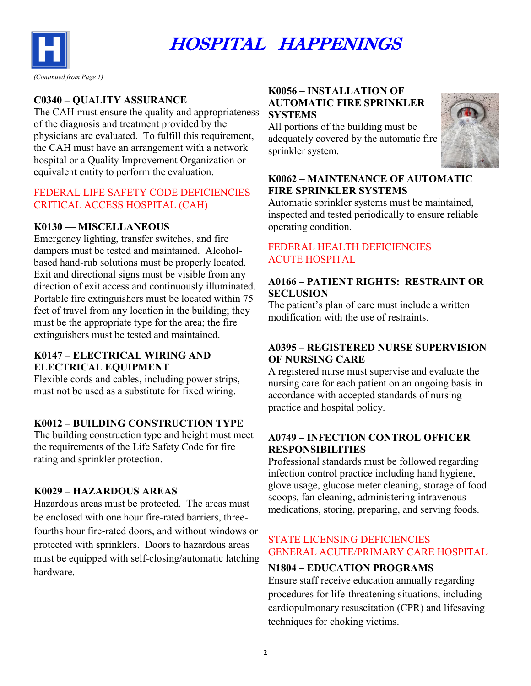

**C0340 – QUALITY ASSURANCE**

The CAH must ensure the quality and appropriateness of the diagnosis and treatment provided by the physicians are evaluated. To fulfill this requirement, the CAH must have an arrangement with a network hospital or a Quality Improvement Organization or equivalent entity to perform the evaluation.

#### FEDERAL LIFE SAFETY CODE DEFICIENCIES CRITICAL ACCESS HOSPITAL (CAH)

#### **K0130 — MISCELLANEOUS**

Emergency lighting, transfer switches, and fire dampers must be tested and maintained. Alcoholbased hand-rub solutions must be properly located. Exit and directional signs must be visible from any direction of exit access and continuously illuminated. Portable fire extinguishers must be located within 75 feet of travel from any location in the building; they must be the appropriate type for the area; the fire extinguishers must be tested and maintained.

#### **K0147 – ELECTRICAL WIRING AND ELECTRICAL EQUIPMENT**

Flexible cords and cables, including power strips, must not be used as a substitute for fixed wiring.

#### **K0012 – BUILDING CONSTRUCTION TYPE**

The building construction type and height must meet the requirements of the Life Safety Code for fire rating and sprinkler protection.

#### **K0029 – HAZARDOUS AREAS**

Hazardous areas must be protected. The areas must be enclosed with one hour fire-rated barriers, threefourths hour fire-rated doors, and without windows or protected with sprinklers. Doors to hazardous areas must be equipped with self-closing/automatic latching hardware.

#### **K0056 – INSTALLATION OF AUTOMATIC FIRE SPRINKLER SYSTEMS**

All portions of the building must be adequately covered by the automatic fire sprinkler system.



#### **K0062 – MAINTENANCE OF AUTOMATIC FIRE SPRINKLER SYSTEMS**

Automatic sprinkler systems must be maintained, inspected and tested periodically to ensure reliable operating condition.

#### FEDERAL HEALTH DEFICIENCIES ACUTE HOSPITAL

#### **A0166 – PATIENT RIGHTS: RESTRAINT OR SECLUSION**

The patient's plan of care must include a written modification with the use of restraints.

#### **A0395 – REGISTERED NURSE SUPERVISION OF NURSING CARE**

A registered nurse must supervise and evaluate the nursing care for each patient on an ongoing basis in accordance with accepted standards of nursing practice and hospital policy.

#### **A0749 – INFECTION CONTROL OFFICER RESPONSIBILITIES**

Professional standards must be followed regarding infection control practice including hand hygiene, glove usage, glucose meter cleaning, storage of food scoops, fan cleaning, administering intravenous medications, storing, preparing, and serving foods.

#### STATE LICENSING DEFICIENCIES GENERAL ACUTE/PRIMARY CARE HOSPITAL

#### **N1804 – EDUCATION PROGRAMS**

Ensure staff receive education annually regarding procedures for life-threatening situations, including cardiopulmonary resuscitation (CPR) and lifesaving techniques for choking victims.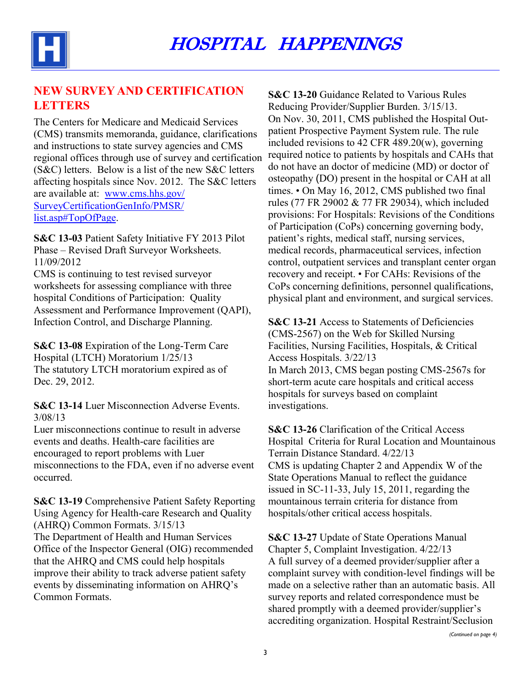

#### **NEW SURVEY AND CERTIFICATION LETTERS**

The Centers for Medicare and Medicaid Services (CMS) transmits memoranda, guidance, clarifications and instructions to state survey agencies and CMS regional offices through use of survey and certification (S&C) letters. Below is a list of the new S&C letters affecting hospitals since Nov. 2012. The S&C letters are available at: [www.cms.hhs.gov/](http://www.cms.hhs.gov/SurveyCertificationGenInfo/PMSR/list.asp#TopOfPage) [SurveyCertificationGenInfo/PMSR/](http://www.cms.hhs.gov/SurveyCertificationGenInfo/PMSR/list.asp#TopOfPage) [list.asp#TopOfPage.](http://www.cms.hhs.gov/SurveyCertificationGenInfo/PMSR/list.asp#TopOfPage)

**S&C 13-03** Patient Safety Initiative FY 2013 Pilot Phase – Revised Draft Surveyor Worksheets. 11/09/2012

CMS is continuing to test revised surveyor worksheets for assessing compliance with three hospital Conditions of Participation: Quality Assessment and Performance Improvement (QAPI), Infection Control, and Discharge Planning.

**S&C 13-08** Expiration of the Long-Term Care Hospital (LTCH) Moratorium 1/25/13 The statutory LTCH moratorium expired as of Dec. 29, 2012.

**S&C 13-14** Luer Misconnection Adverse Events. 3/08/13

Luer misconnections continue to result in adverse events and deaths. Health-care facilities are encouraged to report problems with Luer misconnections to the FDA, even if no adverse event occurred.

**S&C 13-19** Comprehensive Patient Safety Reporting Using Agency for Health-care Research and Quality (AHRQ) Common Formats. 3/15/13 The Department of Health and Human Services Office of the Inspector General (OIG) recommended that the AHRQ and CMS could help hospitals improve their ability to track adverse patient safety events by disseminating information on AHRQ's Common Formats.

**S&C 13-20** Guidance Related to Various Rules Reducing Provider/Supplier Burden. 3/15/13. On Nov. 30, 2011, CMS published the Hospital Outpatient Prospective Payment System rule. The rule included revisions to 42 CFR 489.20(w), governing required notice to patients by hospitals and CAHs that do not have an doctor of medicine (MD) or doctor of osteopathy (DO) present in the hospital or CAH at all times. • On May 16, 2012, CMS published two final rules (77 FR 29002 & 77 FR 29034), which included provisions: For Hospitals: Revisions of the Conditions of Participation (CoPs) concerning governing body, patient's rights, medical staff, nursing services, medical records, pharmaceutical services, infection control, outpatient services and transplant center organ recovery and receipt. • For CAHs: Revisions of the CoPs concerning definitions, personnel qualifications, physical plant and environment, and surgical services.

**S&C 13-21** Access to Statements of Deficiencies (CMS-2567) on the Web for Skilled Nursing Facilities, Nursing Facilities, Hospitals, & Critical Access Hospitals. 3/22/13 In March 2013, CMS began posting CMS-2567s for short-term acute care hospitals and critical access hospitals for surveys based on complaint investigations.

**S&C 13-26** Clarification of the Critical Access Hospital Criteria for Rural Location and Mountainous Terrain Distance Standard. 4/22/13 CMS is updating Chapter 2 and Appendix W of the State Operations Manual to reflect the guidance issued in SC-11-33, July 15, 2011, regarding the mountainous terrain criteria for distance from hospitals/other critical access hospitals.

**S&C 13-27** Update of State Operations Manual Chapter 5, Complaint Investigation. 4/22/13 A full survey of a deemed provider/supplier after a complaint survey with condition-level findings will be made on a selective rather than an automatic basis. All survey reports and related correspondence must be shared promptly with a deemed provider/supplier's accrediting organization. Hospital Restraint/Seclusion